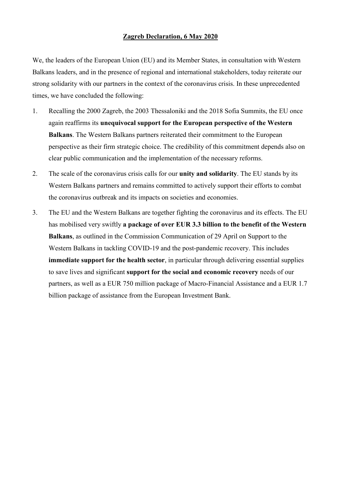## **Zagreb Declaration, 6 May 2020**

We, the leaders of the European Union (EU) and its Member States, in consultation with Western Balkans leaders, and in the presence of regional and international stakeholders, today reiterate our strong solidarity with our partners in the context of the coronavirus crisis. In these unprecedented times, we have concluded the following:

- 1. Recalling the 2000 Zagreb, the 2003 Thessaloniki and the 2018 Sofia Summits, the EU once again reaffirms its **unequivocal support for the European perspective of the Western Balkans**. The Western Balkans partners reiterated their commitment to the European perspective as their firm strategic choice. The credibility of this commitment depends also on clear public communication and the implementation of the necessary reforms.
- 2. The scale of the coronavirus crisis calls for our **unity and solidarity**. The EU stands by its Western Balkans partners and remains committed to actively support their efforts to combat the coronavirus outbreak and its impacts on societies and economies.
- 3. The EU and the Western Balkans are together fighting the coronavirus and its effects. The EU has mobilised very swiftly **a package of over EUR 3.3 billion to the benefit of the Western Balkans**, as outlined in the Commission Communication of 29 April on Support to the Western Balkans in tackling COVID-19 and the post-pandemic recovery. This includes **immediate support for the health sector**, in particular through delivering essential supplies to save lives and significant **support for the social and economic recovery** needs of our partners, as well as a EUR 750 million package of Macro-Financial Assistance and a EUR 1.7 billion package of assistance from the European Investment Bank.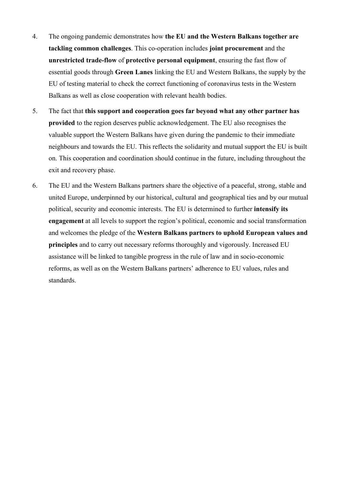- 4. The ongoing pandemic demonstrates how **the EU and the Western Balkans together are tackling common challenges**. This co-operation includes **joint procurement** and the **unrestricted trade-flow** of **protective personal equipment**, ensuring the fast flow of essential goods through **Green Lanes** linking the EU and Western Balkans, the supply by the EU of testing material to check the correct functioning of coronavirus tests in the Western Balkans as well as close cooperation with relevant health bodies.
- 5. The fact that **this support and cooperation goes far beyond what any other partner has provided** to the region deserves public acknowledgement. The EU also recognises the valuable support the Western Balkans have given during the pandemic to their immediate neighbours and towards the EU. This reflects the solidarity and mutual support the EU is built on. This cooperation and coordination should continue in the future, including throughout the exit and recovery phase.
- 6. The EU and the Western Balkans partners share the objective of a peaceful, strong, stable and united Europe, underpinned by our historical, cultural and geographical ties and by our mutual political, security and economic interests. The EU is determined to further **intensify its engagement** at all levels to support the region's political, economic and social transformation and welcomes the pledge of the **Western Balkans partners to uphold European values and principles** and to carry out necessary reforms thoroughly and vigorously. Increased EU assistance will be linked to tangible progress in the rule of law and in socio-economic reforms, as well as on the Western Balkans partners' adherence to EU values, rules and standards.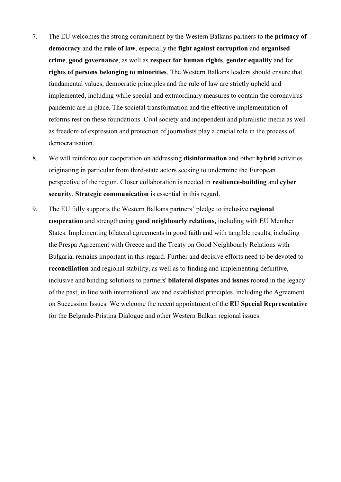- 7. The EU welcomes the strong commitment by the Western Balkans partners to the **primacy of democracy** and the **rule of law**, especially the **fight against corruption** and **organised crime**, **good governance**, as well as **respect for human rights**, **gender equality** and for **rights of persons belonging to minorities**. The Western Balkans leaders should ensure that fundamental values, democratic principles and the rule of law are strictly upheld and implemented, including while special and extraordinary measures to contain the coronavirus pandemic are in place. The societal transformation and the effective implementation of reforms rest on these foundations. Civil society and independent and pluralistic media as well as freedom of expression and protection of journalists play a crucial role in the process of democratisation.
- 8. We will reinforce our cooperation on addressing **disinformation** and other **hybrid** activities originating in particular from third-state actors seeking to undermine the European perspective of the region. Closer collaboration is needed in **resilience-building** and **cyber security**. **Strategic communication** is essential in this regard.
- 9. The EU fully supports the Western Balkans partners' pledge to inclusive **regional cooperation** and strengthening **good neighbourly relations,** including with EU Member States. Implementing bilateral agreements in good faith and with tangible results, including the Prespa Agreement with Greece and the Treaty on Good Neighbourly Relations with Bulgaria, remains important in this regard. Further and decisive efforts need to be devoted to **reconciliation** and regional stability, as well as to finding and implementing definitive, inclusive and binding solutions to partners' **bilateral disputes** and **issues** rooted in the legacy of the past, in line with international law and established principles, including the Agreement on Succession Issues. We welcome the recent appointment of the **EU Special Representative** for the Belgrade-Pristina Dialogue and other Western Balkan regional issues.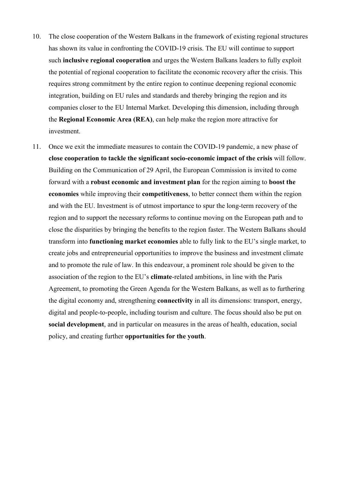- 10. The close cooperation of the Western Balkans in the framework of existing regional structures has shown its value in confronting the COVID-19 crisis. The EU will continue to support such **inclusive regional cooperation** and urges the Western Balkans leaders to fully exploit the potential of regional cooperation to facilitate the economic recovery after the crisis. This requires strong commitment by the entire region to continue deepening regional economic integration, building on EU rules and standards and thereby bringing the region and its companies closer to the EU Internal Market. Developing this dimension, including through the **Regional Economic Area (REA)**, can help make the region more attractive for investment.
- 11. Once we exit the immediate measures to contain the COVID-19 pandemic, a new phase of **close cooperation to tackle the significant socio-economic impact of the crisis** will follow. Building on the Communication of 29 April, the European Commission is invited to come forward with a **robust economic and investment plan** for the region aiming to **boost the economies** while improving their **competitiveness**, to better connect them within the region and with the EU. Investment is of utmost importance to spur the long-term recovery of the region and to support the necessary reforms to continue moving on the European path and to close the disparities by bringing the benefits to the region faster. The Western Balkans should transform into **functioning market economies** able to fully link to the EU's single market, to create jobs and entrepreneurial opportunities to improve the business and investment climate and to promote the rule of law. In this endeavour, a prominent role should be given to the association of the region to the EU's **climate**-related ambitions, in line with the Paris Agreement, to promoting the Green Agenda for the Western Balkans, as well as to furthering the digital economy and, strengthening **connectivity** in all its dimensions: transport, energy, digital and people-to-people, including tourism and culture. The focus should also be put on **social development**, and in particular on measures in the areas of health, education, social policy, and creating further **opportunities for the youth**.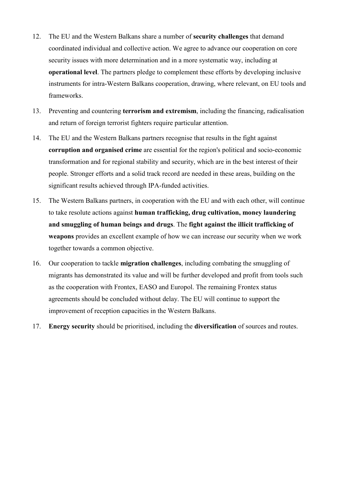- 12. The EU and the Western Balkans share a number of **security challenges** that demand coordinated individual and collective action. We agree to advance our cooperation on core security issues with more determination and in a more systematic way, including at **operational level**. The partners pledge to complement these efforts by developing inclusive instruments for intra-Western Balkans cooperation, drawing, where relevant, on EU tools and frameworks.
- 13. Preventing and countering **terrorism and extremism**, including the financing, radicalisation and return of foreign terrorist fighters require particular attention.
- 14. The EU and the Western Balkans partners recognise that results in the fight against **corruption and organised crime** are essential for the region's political and socio-economic transformation and for regional stability and security, which are in the best interest of their people. Stronger efforts and a solid track record are needed in these areas, building on the significant results achieved through IPA-funded activities.
- 15. The Western Balkans partners, in cooperation with the EU and with each other, will continue to take resolute actions against **human trafficking, drug cultivation, money laundering and smuggling of human beings and drugs**. The **fight against the illicit trafficking of weapons** provides an excellent example of how we can increase our security when we work together towards a common objective.
- 16. Our cooperation to tackle **migration challenges**, including combating the smuggling of migrants has demonstrated its value and will be further developed and profit from tools such as the cooperation with Frontex, EASO and Europol. The remaining Frontex status agreements should be concluded without delay. The EU will continue to support the improvement of reception capacities in the Western Balkans.
- 17. **Energy security** should be prioritised, including the **diversification** of sources and routes.